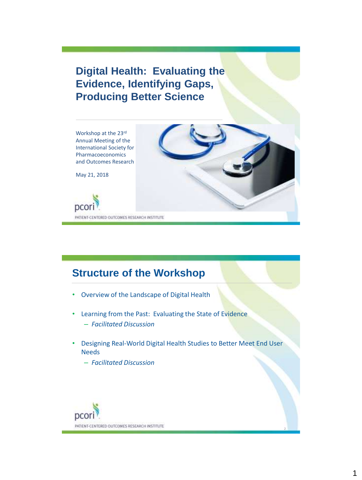**Digital Health: Evaluating the Evidence, Identifying Gaps, Producing Better Science**

Workshop at the 23rd Annual Meeting of the International Society for Pharmacoeconomics and Outcomes Research

May 21, 2018



## **Structure of the Workshop**

- Overview of the Landscape of Digital Health
- Learning from the Past: Evaluating the State of Evidence – *Facilitated Discussion*
- Designing Real-World Digital Health Studies to Better Meet End User Needs
	- *Facilitated Discussion*



2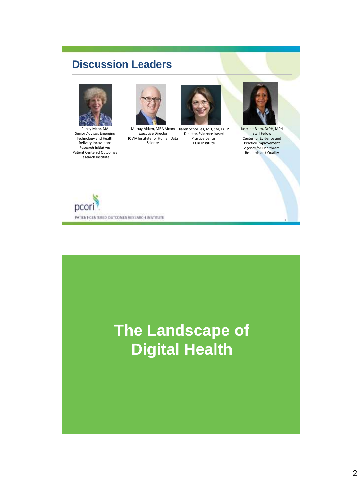## **Discussion Leaders**



Penny Mohr, MA Senior Advisor, Emerging Technology and Health Delivery Innovations Research Initiatives Patient Centered Outcomes Research Institute









Jasmine Bihm, DrPH, MPH Staff Fellow Center for Evidence and Practice Improvement Agency for Healthcare Research and Quality

3



# **The Landscape of Digital Health**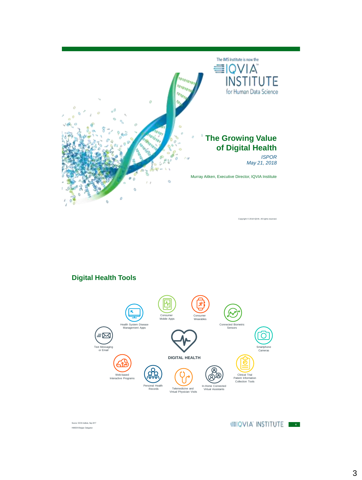

**Digital Health Tools**



Source: IQVIA Institute, Sep 2017 **ISS18 Belgian Delegation** 

**6**

Copyright © 2018 IQVIA. All rights res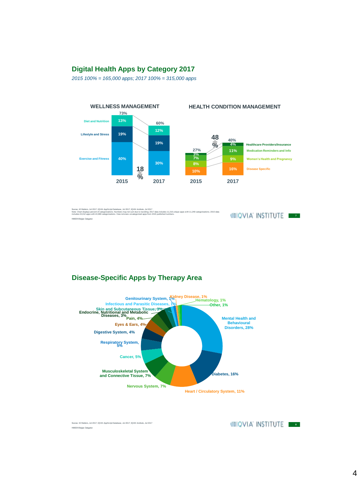#### **Digital Health Apps by Category 2017**

*2015 100% = 165,000 apps; 2017 100% = 315,000 apps*



Source: 42 Matters, Jul 2017; IQVIA AppScript Database, Jul 2017; IQVIA Institute, Jul 2017<br>Note: Chart displays percent of categorizations. Numbers may not sumations may also also also also a suppose a<br>includes 24,012 app **HIMSS18 Belgian Delegation** 

#### **EIQVIA INSTITUTE**

**Disease-Specific Apps by Therapy Area**



Sources: 42 Matters, Jul 2017; IQVIA AppScript Database, Jul 2017; IQVIA Institute, Jul 2017 HIMSS18 Belgian Delegation

#### **888 889 TO VIA INSTITUTE**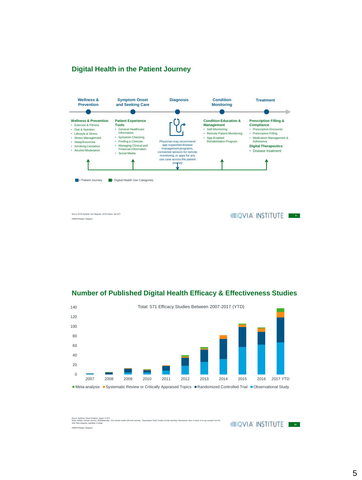#### **Digital Health in the Patient Journey**



#### **Number of Published Digital Health Efficacy & Effectiveness Studies**



Source: AppSaript Clinical Exidence, August 14 2017<br>Note: Analysis excludes accuracy Elibatioseusties. Only includes studies with hard cultocomes. 'Observational Study' includes all trials examining interventional value or **ISS18 Belgian Delegation** 

**10VIA INSTITUTE**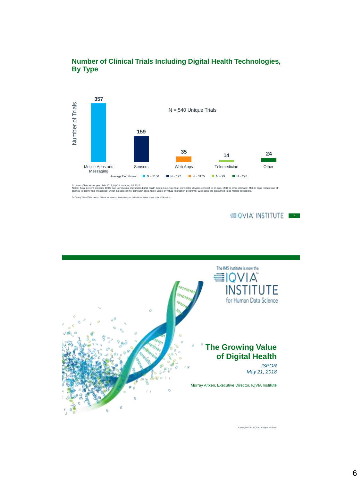

#### **Number of Clinical Trials Including Digital Health Technologies, By Type**

icaltrials.gov, Feb 2017; IQVIA Institute, Jul 2017<br>percent exceeds 100% due to inclusion of multiple d<br>iver text messages; Other includes offline computer Notes: Total percent exceeds 100% due to inclusion of multiple digital health types in a single trial; Connected devices compect on app, EMR or other interface; Mobile apps include use of<br>phones to deliver text messages; O

The Growing Value of Digital Health ~ Evidence and Impact on Human Health and the Healthcare System. Report by the IQVIA Institute.

**10VIA INSTITUTE** 



Copyright © 2018 IQVIA. All rights reserved.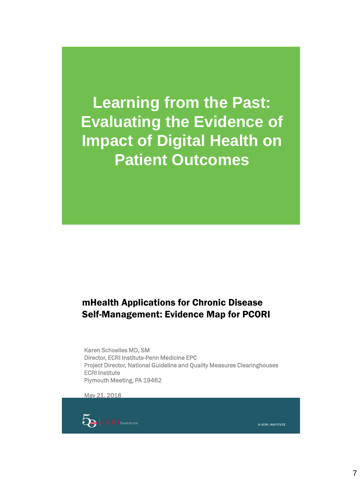**Learning from the Past: Evaluating the Evidence of Impact of Digital Health on Patient Outcomes**

## mHealth Applications for Chronic Disease Self-Management: Evidence Map for PCORI

Karen Schoelles MD, SM Director, ECRI Institute-Penn Medicine EPC Project Director, National Guideline and Quality Measures Clearinghouses ECRI Institute Plymouth Meeting, PA 19462

May 21, 2018



© ECRI INSTITUTE © ECRI INSTITUTE 14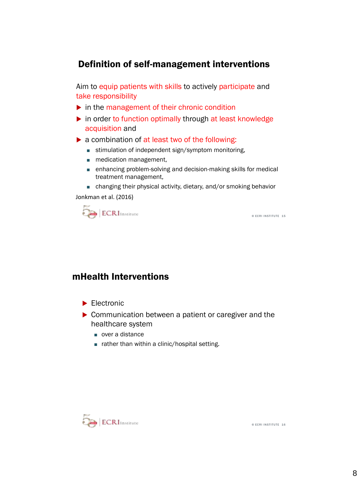## Definition of self-management interventions

Aim to equip patients with skills to actively participate and take responsibility

- $\triangleright$  in the management of their chronic condition
- in order to function optimally through at least knowledge acquisition and
- ▶ a combination of at least two of the following:
	- stimulation of independent sign/symptom monitoring,
	- medication management,
	- enhancing problem-solving and decision-making skills for medical treatment management,
	- changing their physical activity, dietary, and/or smoking behavior

Jonkman et al. (2016)



### mHealth Interventions

- $\blacktriangleright$  Electronic
- ▶ Communication between a patient or caregiver and the healthcare system
	- over a distance
	- rather than within a clinic/hospital setting.



© ECRI INSTITUTE 16

© ECRI INSTITUTE 15